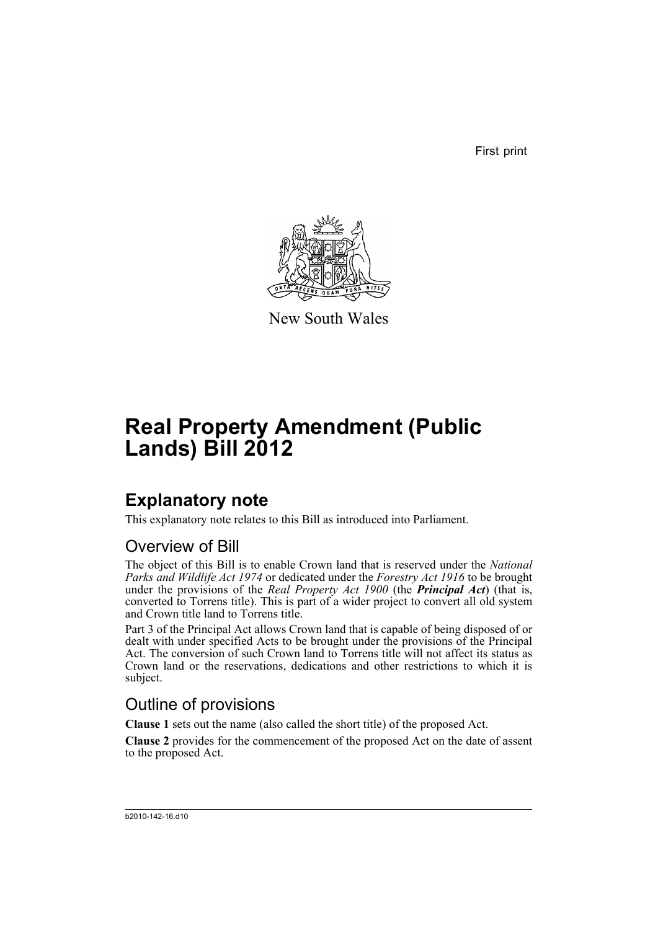First print



New South Wales

# **Real Property Amendment (Public Lands) Bill 2012**

## **Explanatory note**

This explanatory note relates to this Bill as introduced into Parliament.

### Overview of Bill

The object of this Bill is to enable Crown land that is reserved under the *National Parks and Wildlife Act 1974* or dedicated under the *Forestry Act 1916* to be brought under the provisions of the *Real Property Act 1900* (the *Principal Act*) (that is, converted to Torrens title). This is part of a wider project to convert all old system and Crown title land to Torrens title.

Part 3 of the Principal Act allows Crown land that is capable of being disposed of or dealt with under specified Acts to be brought under the provisions of the Principal Act. The conversion of such Crown land to Torrens title will not affect its status as Crown land or the reservations, dedications and other restrictions to which it is subject.

### Outline of provisions

**Clause 1** sets out the name (also called the short title) of the proposed Act.

**Clause 2** provides for the commencement of the proposed Act on the date of assent to the proposed Act.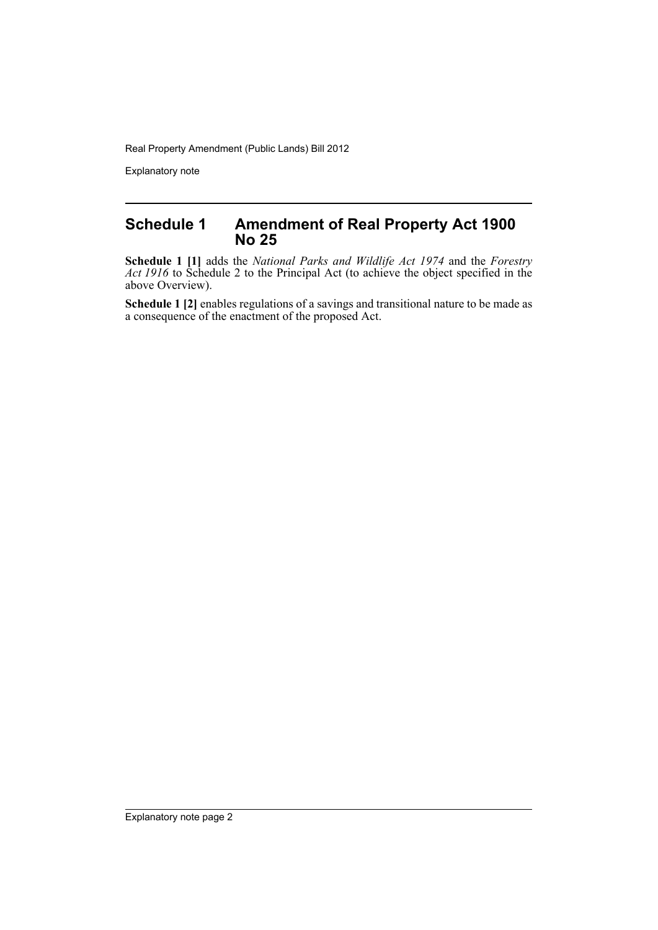Real Property Amendment (Public Lands) Bill 2012

Explanatory note

#### **Schedule 1 Amendment of Real Property Act 1900 No 25**

**Schedule 1 [1]** adds the *National Parks and Wildlife Act 1974* and the *Forestry Act 1916* to Schedule 2 to the Principal Act (to achieve the object specified in the above Overview).

**Schedule 1 [2]** enables regulations of a savings and transitional nature to be made as a consequence of the enactment of the proposed Act.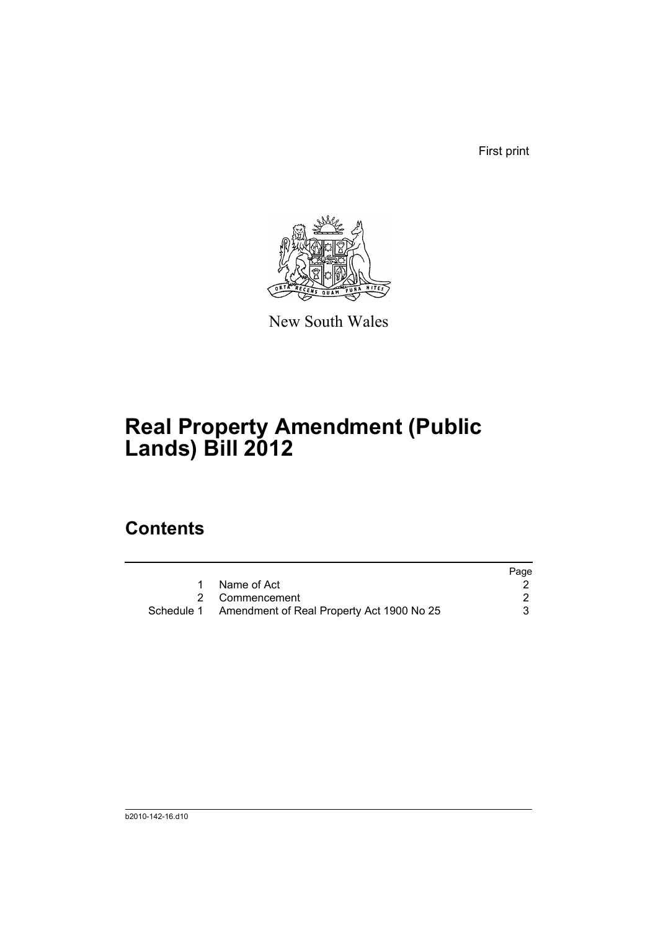First print



New South Wales

# **Real Property Amendment (Public Lands) Bill 2012**

## **Contents**

|                                                      | Page |
|------------------------------------------------------|------|
| 1 Name of Act                                        |      |
| 2 Commencement                                       |      |
| Schedule 1 Amendment of Real Property Act 1900 No 25 |      |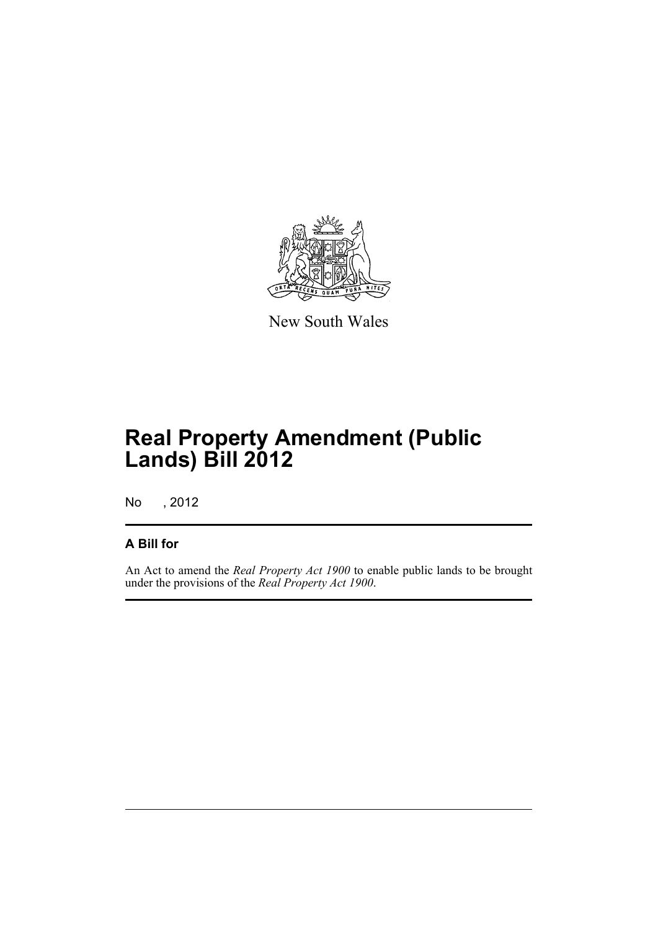

New South Wales

# **Real Property Amendment (Public Lands) Bill 2012**

No , 2012

#### **A Bill for**

An Act to amend the *Real Property Act 1900* to enable public lands to be brought under the provisions of the *Real Property Act 1900*.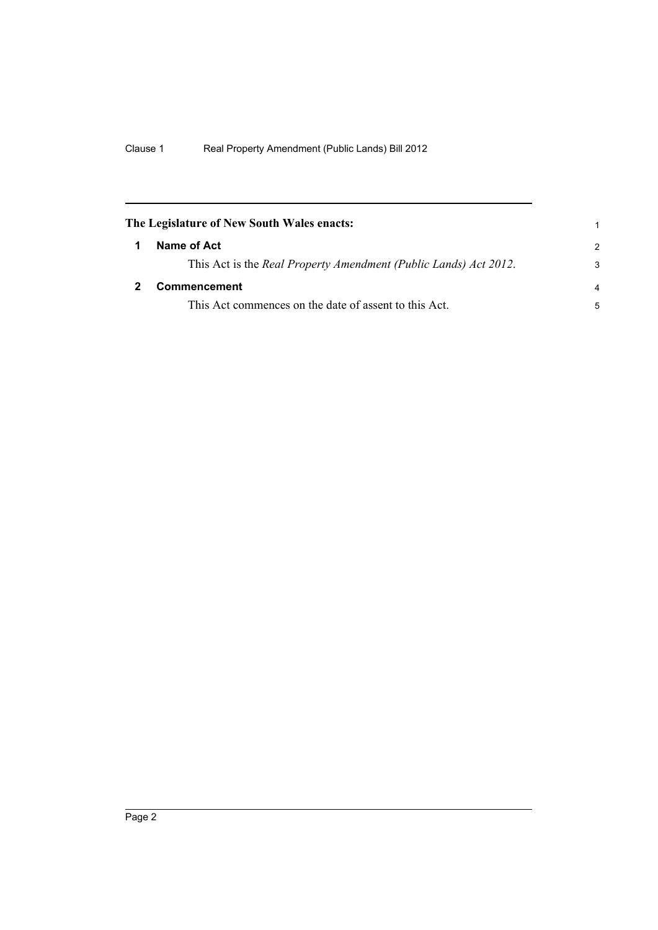<span id="page-5-1"></span><span id="page-5-0"></span>

| The Legislature of New South Wales enacts:                       |                |
|------------------------------------------------------------------|----------------|
| Name of Act                                                      | $\mathcal{P}$  |
| This Act is the Real Property Amendment (Public Lands) Act 2012. | 3              |
| <b>Commencement</b>                                              | $\overline{a}$ |
| This Act commences on the date of assent to this Act.            | 5              |